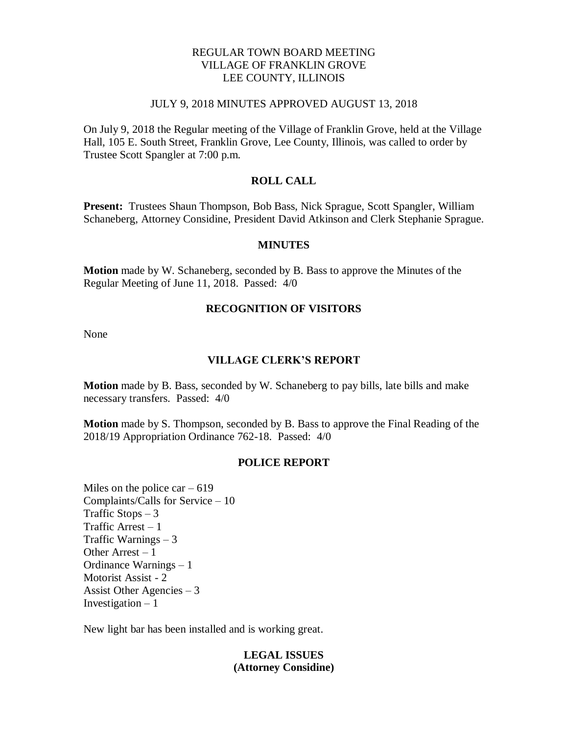### REGULAR TOWN BOARD MEETING VILLAGE OF FRANKLIN GROVE LEE COUNTY, ILLINOIS

#### JULY 9, 2018 MINUTES APPROVED AUGUST 13, 2018

On July 9, 2018 the Regular meeting of the Village of Franklin Grove, held at the Village Hall, 105 E. South Street, Franklin Grove, Lee County, Illinois, was called to order by Trustee Scott Spangler at 7:00 p.m.

### **ROLL CALL**

**Present:** Trustees Shaun Thompson, Bob Bass, Nick Sprague, Scott Spangler, William Schaneberg, Attorney Considine, President David Atkinson and Clerk Stephanie Sprague.

#### **MINUTES**

**Motion** made by W. Schaneberg, seconded by B. Bass to approve the Minutes of the Regular Meeting of June 11, 2018. Passed: 4/0

### **RECOGNITION OF VISITORS**

None

### **VILLAGE CLERK'S REPORT**

**Motion** made by B. Bass, seconded by W. Schaneberg to pay bills, late bills and make necessary transfers. Passed: 4/0

**Motion** made by S. Thompson, seconded by B. Bass to approve the Final Reading of the 2018/19 Appropriation Ordinance 762-18. Passed: 4/0

#### **POLICE REPORT**

Miles on the police car  $-619$ Complaints/Calls for Service – 10 Traffic Stops  $-3$ Traffic Arrest  $-1$ Traffic Warnings – 3 Other Arrest – 1 Ordinance Warnings – 1 Motorist Assist - 2 Assist Other Agencies – 3 Investigation  $-1$ 

New light bar has been installed and is working great.

### **LEGAL ISSUES (Attorney Considine)**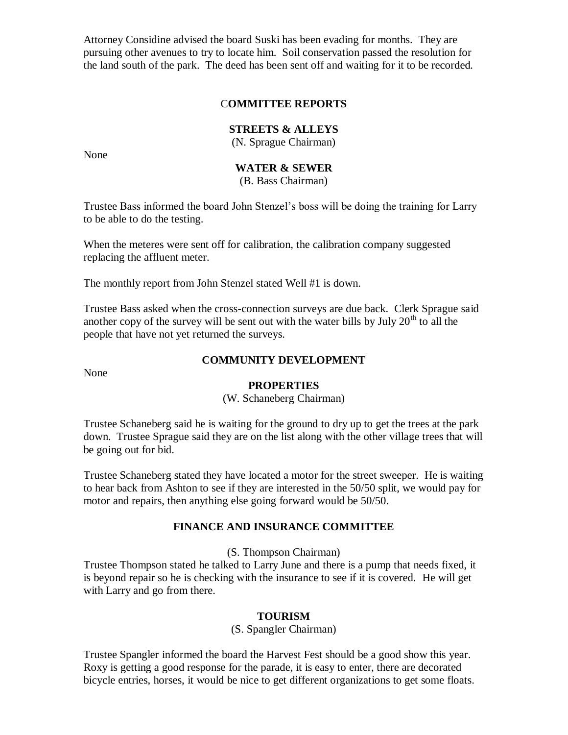Attorney Considine advised the board Suski has been evading for months. They are pursuing other avenues to try to locate him. Soil conservation passed the resolution for the land south of the park. The deed has been sent off and waiting for it to be recorded.

## C**OMMITTEE REPORTS**

### **STREETS & ALLEYS**

(N. Sprague Chairman)

None

# **WATER & SEWER**

(B. Bass Chairman)

Trustee Bass informed the board John Stenzel's boss will be doing the training for Larry to be able to do the testing.

When the meteres were sent off for calibration, the calibration company suggested replacing the affluent meter.

The monthly report from John Stenzel stated Well #1 is down.

Trustee Bass asked when the cross-connection surveys are due back. Clerk Sprague said another copy of the survey will be sent out with the water bills by July  $20<sup>th</sup>$  to all the people that have not yet returned the surveys.

None

## **COMMUNITY DEVELOPMENT**

#### **PROPERTIES**

(W. Schaneberg Chairman)

Trustee Schaneberg said he is waiting for the ground to dry up to get the trees at the park down. Trustee Sprague said they are on the list along with the other village trees that will be going out for bid.

Trustee Schaneberg stated they have located a motor for the street sweeper. He is waiting to hear back from Ashton to see if they are interested in the 50/50 split, we would pay for motor and repairs, then anything else going forward would be 50/50.

### **FINANCE AND INSURANCE COMMITTEE**

(S. Thompson Chairman)

Trustee Thompson stated he talked to Larry June and there is a pump that needs fixed, it is beyond repair so he is checking with the insurance to see if it is covered. He will get with Larry and go from there.

### **TOURISM**

(S. Spangler Chairman)

Trustee Spangler informed the board the Harvest Fest should be a good show this year. Roxy is getting a good response for the parade, it is easy to enter, there are decorated bicycle entries, horses, it would be nice to get different organizations to get some floats.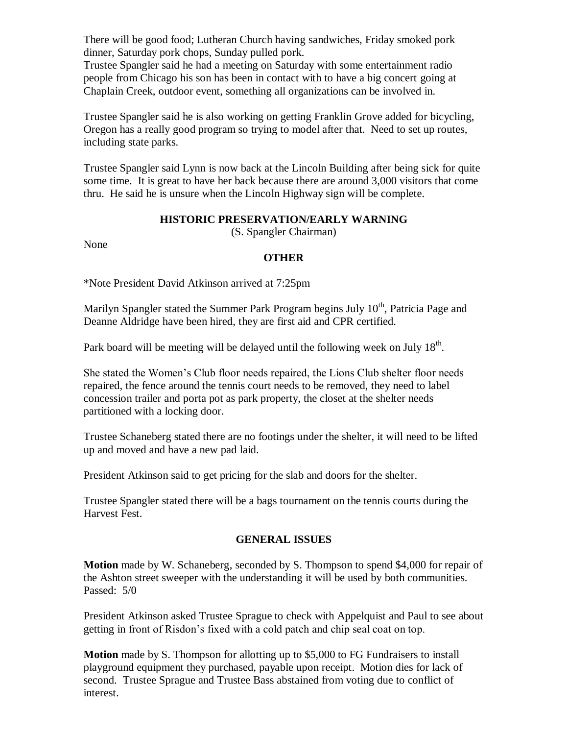There will be good food; Lutheran Church having sandwiches, Friday smoked pork dinner, Saturday pork chops, Sunday pulled pork.

Trustee Spangler said he had a meeting on Saturday with some entertainment radio people from Chicago his son has been in contact with to have a big concert going at Chaplain Creek, outdoor event, something all organizations can be involved in.

Trustee Spangler said he is also working on getting Franklin Grove added for bicycling, Oregon has a really good program so trying to model after that. Need to set up routes, including state parks.

Trustee Spangler said Lynn is now back at the Lincoln Building after being sick for quite some time. It is great to have her back because there are around 3,000 visitors that come thru. He said he is unsure when the Lincoln Highway sign will be complete.

## **HISTORIC PRESERVATION/EARLY WARNING**

(S. Spangler Chairman)

None

## **OTHER**

\*Note President David Atkinson arrived at 7:25pm

Marilyn Spangler stated the Summer Park Program begins July 10<sup>th</sup>, Patricia Page and Deanne Aldridge have been hired, they are first aid and CPR certified.

Park board will be meeting will be delayed until the following week on July  $18<sup>th</sup>$ .

She stated the Women's Club floor needs repaired, the Lions Club shelter floor needs repaired, the fence around the tennis court needs to be removed, they need to label concession trailer and porta pot as park property, the closet at the shelter needs partitioned with a locking door.

Trustee Schaneberg stated there are no footings under the shelter, it will need to be lifted up and moved and have a new pad laid.

President Atkinson said to get pricing for the slab and doors for the shelter.

Trustee Spangler stated there will be a bags tournament on the tennis courts during the Harvest Fest.

# **GENERAL ISSUES**

**Motion** made by W. Schaneberg, seconded by S. Thompson to spend \$4,000 for repair of the Ashton street sweeper with the understanding it will be used by both communities. Passed: 5/0

President Atkinson asked Trustee Sprague to check with Appelquist and Paul to see about getting in front of Risdon's fixed with a cold patch and chip seal coat on top.

**Motion** made by S. Thompson for allotting up to \$5,000 to FG Fundraisers to install playground equipment they purchased, payable upon receipt. Motion dies for lack of second. Trustee Sprague and Trustee Bass abstained from voting due to conflict of interest.